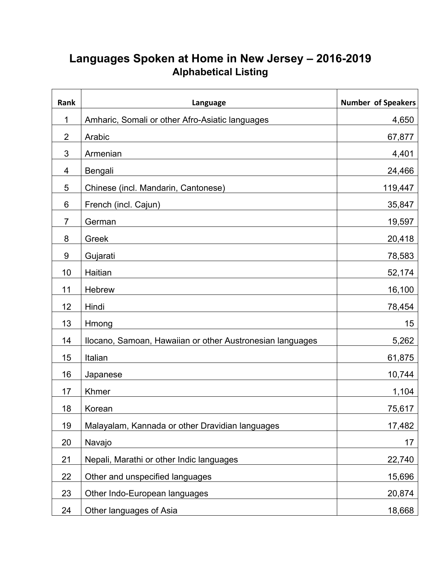## **Languages Spoken at Home in New Jersey – 2016-2019 Alphabetical Listing**

| Rank         | Language                                                  | <b>Number of Speakers</b> |
|--------------|-----------------------------------------------------------|---------------------------|
| $\mathbf{1}$ | Amharic, Somali or other Afro-Asiatic languages           | 4,650                     |
| 2            | Arabic                                                    | 67,877                    |
| 3            | Armenian                                                  | 4,401                     |
| 4            | Bengali                                                   | 24,466                    |
| 5            | Chinese (incl. Mandarin, Cantonese)                       | 119,447                   |
| 6            | French (incl. Cajun)                                      | 35,847                    |
| 7            | German                                                    | 19,597                    |
| 8            | Greek                                                     | 20,418                    |
| 9            | Gujarati                                                  | 78,583                    |
| 10           | Haitian                                                   | 52,174                    |
| 11           | Hebrew                                                    | 16,100                    |
| 12           | Hindi                                                     | 78,454                    |
| 13           | Hmong                                                     | 15                        |
| 14           | Ilocano, Samoan, Hawaiian or other Austronesian languages | 5,262                     |
| 15           | Italian                                                   | 61,875                    |
| 16           | Japanese                                                  | 10,744                    |
| 17           | Khmer                                                     | 1,104                     |
| 18           | Korean                                                    | 75,617                    |
| 19           | Malayalam, Kannada or other Dravidian languages           | 17,482                    |
| 20           | Navajo                                                    | 17                        |
| 21           | Nepali, Marathi or other Indic languages                  | 22,740                    |
| 22           | Other and unspecified languages                           | 15,696                    |
| 23           | Other Indo-European languages                             | 20,874                    |
| 24           | Other languages of Asia                                   | 18,668                    |